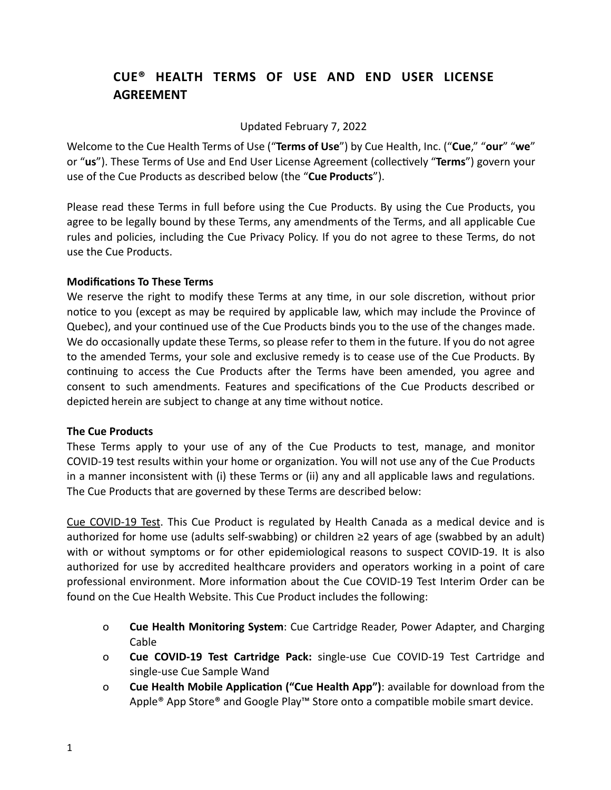# **CUE® HEALTH TERMS OF USE AND END USER LICENSE AGREEMENT**

Updated February 7, 2022

Welcome to the Cue Health Terms of Use ("**Terms of Use**") by Cue Health, Inc. ("**Cue**," "**our**" "**we**" or "**us**"). These Terms of Use and End User License Agreement (collectively "**Terms**") govern your use of the Cue Products as described below (the "**Cue Products**").

Please read these Terms in full before using the Cue Products. By using the Cue Products, you agree to be legally bound by these Terms, any amendments of the Terms, and all applicable Cue rules and policies, including the Cue Privacy Policy. If you do not agree to these Terms, do not use the Cue Products.

# **Modifications To These Terms**

We reserve the right to modify these Terms at any time, in our sole discretion, without prior notice to you (except as may be required by applicable law, which may include the Province of Quebec), and your continued use of the Cue Products binds you to the use of the changes made. We do occasionally update these Terms, so please refer to them in the future. If you do not agree to the amended Terms, your sole and exclusive remedy is to cease use of the Cue Products. By continuing to access the Cue Products after the Terms have been amended, you agree and consent to such amendments. Features and specifications of the Cue Products described or depicted herein are subject to change at any time without notice.

# **The Cue Products**

These Terms apply to your use of any of the Cue Products to test, manage, and monitor COVID-19 test results within your home or organization. You will not use any of the Cue Products in a manner inconsistent with (i) these Terms or (ii) any and all applicable laws and regulations. The Cue Products that are governed by these Terms are described below:

Cue COVID-19 Test. This Cue Product is regulated by Health Canada as a medical device and is authorized for home use (adults self-swabbing) or children ≥2 years of age (swabbed by an adult) with or without symptoms or for other epidemiological reasons to suspect COVID-19. It is also authorized for use by accredited healthcare providers and operators working in a point of care professional environment. More information about the Cue COVID-19 Test Interim Order can be found on the Cue Health Website. This Cue Product includes the following:

- o **Cue Health Monitoring System**: Cue Cartridge Reader, Power Adapter, and Charging Cable
- o **Cue COVID-19 Test Cartridge Pack:** single-use Cue COVID-19 Test Cartridge and single-use Cue Sample Wand
- o **Cue Health Mobile Application ("Cue Health App")**: available for download from the Apple<sup>®</sup> App Store<sup>®</sup> and Google Play™ Store onto a compatible mobile smart device.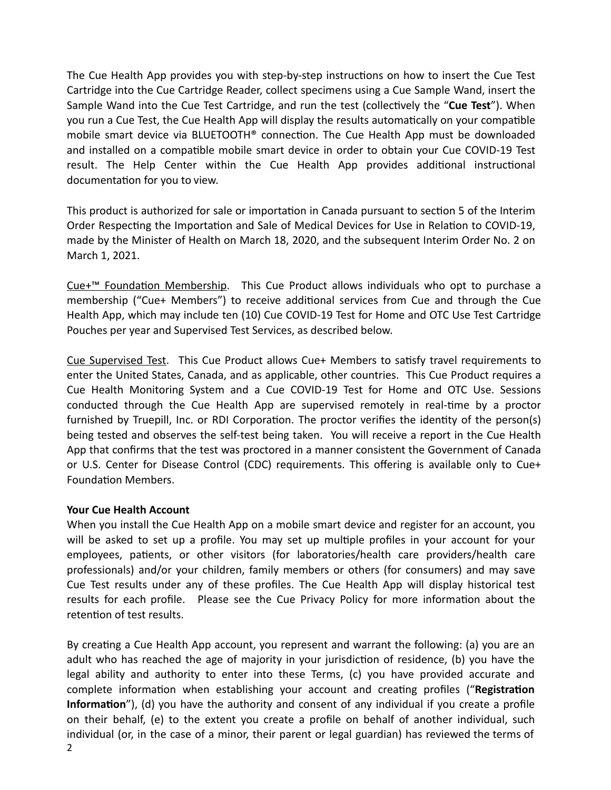The Cue Health App provides you with step-by-step instructions on how to insert the Cue Test Cartridge into the Cue Cartridge Reader, collect specimens using a Cue Sample Wand, insert the Sample Wand into the Cue Test Cartridge, and run the test (collectively the "**Cue Test**"). When you run a Cue Test, the Cue Health App will display the results automatically on your compatible mobile smart device via BLUETOOTH® connection. The Cue Health App must be downloaded and installed on a compatible mobile smart device in order to obtain your Cue COVID-19 Test result. The Help Center within the Cue Health App provides additional instructional documentation for you to view.

This product is authorized for sale or importation in Canada pursuant to section 5 of the Interim Order Respecting the Importation and Sale of Medical Devices for Use in Relation to COVID-19, made by the Minister of Health on March 18, 2020, and the subsequent Interim Order No. 2 on March 1, 2021.

Cue+™ Foundation Membership. This Cue Product allows individuals who opt to purchase a membership ("Cue+ Members") to receive additional services from Cue and through the Cue Health App, which may include ten (10) Cue COVID-19 Test for Home and OTC Use Test Cartridge Pouches per year and Supervised Test Services, as described below.

Cue Supervised Test. This Cue Product allows Cue+ Members to satisfy [travel requirements to](https://www.cdc.gov/coronavirus/2019-ncov/travelers/international-travel/index.html) [enter the United States, Canada, and as applicable, other countries.](https://www.cdc.gov/coronavirus/2019-ncov/travelers/international-travel/index.html) This Cue Product requires a Cue Health Monitoring System and a Cue COVID-19 Test for Home and OTC Use. Sessions conducted through the Cue Health App are supervised remotely in real-time by a proctor furnished by Truepill, Inc. or RDI Corporation. The proctor verifies the identity of the person(s) being tested and observes the self-test being taken. You will receive a report in the Cue Health App that confirms that the test was proctored in a manner consistent the Government of Canada or U.S. Center for Disease Control (CDC) requirements. This offering is available only to Cue+ Foundation Members.

#### **Your Cue Health Account**

When you install the Cue Health App on a mobile smart device and register for an account, you will be asked to set up a profile. You may set up multiple profiles in your account for your employees, patients, or other visitors (for laboratories/health care providers/health care professionals) and/or your children, family members or others (for consumers) and may save Cue Test results under any of these profiles. The Cue Health App will display historical test results for each profile. Please see the Cue Privacy Policy for more information about the retention of test results.

By creating a Cue Health App account, you represent and warrant the following: (a) you are an adult who has reached the age of majority in your jurisdiction of residence, (b) you have the legal ability and authority to enter into these Terms, (c) you have provided accurate and complete information when establishing your account and creating profiles ("**Registration Information**"), (d) you have the authority and consent of any individual if you create a profile on their behalf, (e) to the extent you create a profile on behalf of another individual, such individual (or, in the case of a minor, their parent or legal guardian) has reviewed the terms of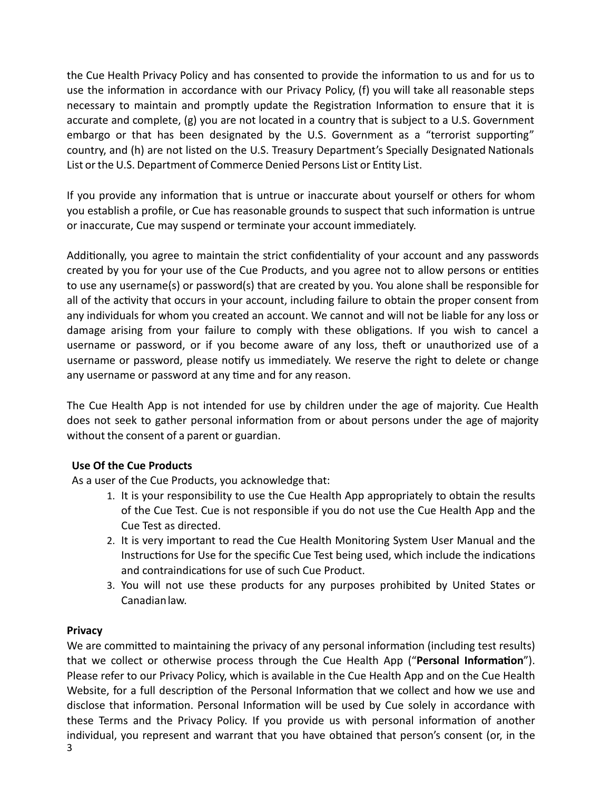the Cue Health Privacy Policy and has consented to provide the information to us and for us to use the information in accordance with our Privacy Policy, (f) you will take all reasonable steps necessary to maintain and promptly update the Registration Information to ensure that it is accurate and complete, (g) you are not located in a country that is subject to a U.S. Government embargo or that has been designated by the U.S. Government as a "terrorist supporting" country, and (h) are not listed on the U.S. Treasury Department's Specially Designated Nationals List or the U.S. Department of Commerce Denied Persons List or Entity List.

If you provide any information that is untrue or inaccurate about yourself or others for whom you establish a profile, or Cue has reasonable grounds to suspect that such information is untrue or inaccurate, Cue may suspend or terminate your account immediately.

Additionally, you agree to maintain the strict confidentiality of your account and any passwords created by you for your use of the Cue Products, and you agree not to allow persons or entities to use any username(s) or password(s) that are created by you. You alone shall be responsible for all of the activity that occurs in your account, including failure to obtain the proper consent from any individuals for whom you created an account. We cannot and will not be liable for any loss or damage arising from your failure to comply with these obligations. If you wish to cancel a username or password, or if you become aware of any loss, theft or unauthorized use of a username or password, please notify us immediately. We reserve the right to delete or change any username or password at any time and for any reason.

The Cue Health App is not intended for use by children under the age of majority. Cue Health does not seek to gather personal information from or about persons under the age of majority without the consent of a parent or guardian.

# **Use Of the Cue Products**

As a user of the Cue Products, you acknowledge that:

- 1. It is your responsibility to use the Cue Health App appropriately to obtain the results of the Cue Test. Cue is not responsible if you do not use the Cue Health App and the Cue Test as directed.
- 2. It is very important to read the Cue Health Monitoring System User Manual and the Instructions for Use for the specific Cue Test being used, which include the indications and contraindications for use of such Cue Product.
- 3. You will not use these products for any purposes prohibited by United States or Canadianlaw.

# **Privacy**

We are committed to maintaining the privacy of any personal information (including test results) that we collect or otherwise process through the Cue Health App ("**Personal Information**"). Please refer to our Privacy Policy, which is available in the Cue Health App and on the Cue Health Website, for a full description of the Personal Information that we collect and how we use and disclose that information. Personal Information will be used by Cue solely in accordance with these Terms and the Privacy Policy. If you provide us with personal information of another individual, you represent and warrant that you have obtained that person's consent (or, in the 3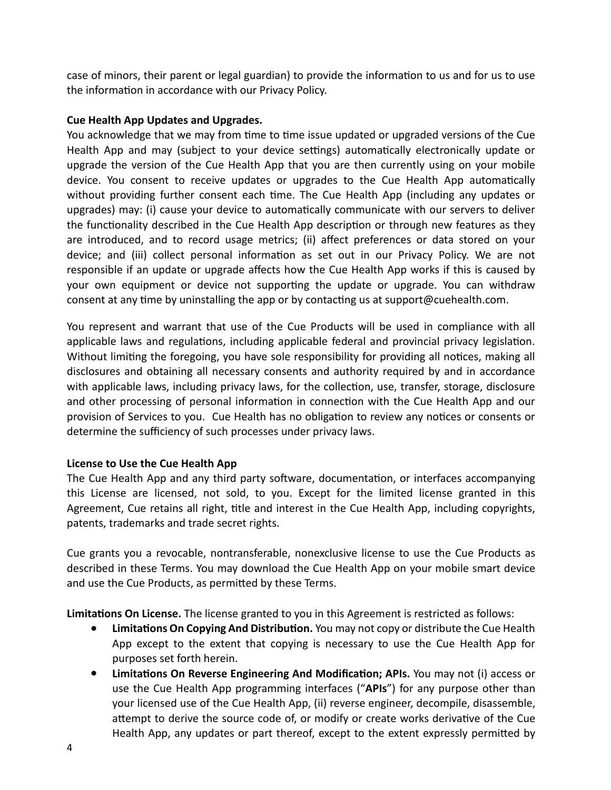case of minors, their parent or legal guardian) to provide the information to us and for us to use the information in accordance with our Privacy Policy.

# **Cue Health App Updates and Upgrades.**

You acknowledge that we may from time to time issue updated or upgraded versions of the Cue Health App and may (subject to your device settings) automatically electronically update or upgrade the version of the Cue Health App that you are then currently using on your mobile device. You consent to receive updates or upgrades to the Cue Health App automatically without providing further consent each time. The Cue Health App (including any updates or upgrades) may: (i) cause your device to automatically communicate with our servers to deliver the functionality described in the Cue Health App description or through new features as they are introduced, and to record usage metrics; (ii) affect preferences or data stored on your device; and (iii) collect personal information as set out in our Privacy Policy. We are not responsible if an update or upgrade affects how the Cue Health App works if this is caused by your own equipment or device not supporting the update or upgrade. You can withdraw consent at any time by uninstalling the app or by contacting us at support@cuehealth.com.

You represent and warrant that use of the Cue Products will be used in compliance with all applicable laws and regulations, including applicable federal and provincial privacy legislation. Without limiting the foregoing, you have sole responsibility for providing all notices, making all disclosures and obtaining all necessary consents and authority required by and in accordance with applicable laws, including privacy laws, for the collection, use, transfer, storage, disclosure and other processing of personal information in connection with the Cue Health App and our provision of Services to you. Cue Health has no obligation to review any notices or consents or determine the sufficiency of such processes under privacy laws.

# **License to Use the Cue Health App**

The Cue Health App and any third party software, documentation, or interfaces accompanying this License are licensed, not sold, to you. Except for the limited license granted in this Agreement, Cue retains all right, title and interest in the Cue Health App, including copyrights, patents, trademarks and trade secret rights.

Cue grants you a revocable, nontransferable, nonexclusive license to use the Cue Products as described in these Terms. You may download the Cue Health App on your mobile smart device and use the Cue Products, as permitted by these Terms.

**Limitations On License.** The license granted to you in this Agreement is restricted as follows:

- **● Limitations On Copying And Distribution.** You may not copy or distribute the Cue Health App except to the extent that copying is necessary to use the Cue Health App for purposes set forth herein.
- **● Limitations On Reverse Engineering And Modification; APIs.** You may not (i) access or use the Cue Health App programming interfaces ("**APIs**") for any purpose other than your licensed use of the Cue Health App, (ii) reverse engineer, decompile, disassemble, attempt to derive the source code of, or modify or create works derivative of the Cue Health App, any updates or part thereof, except to the extent expressly permitted by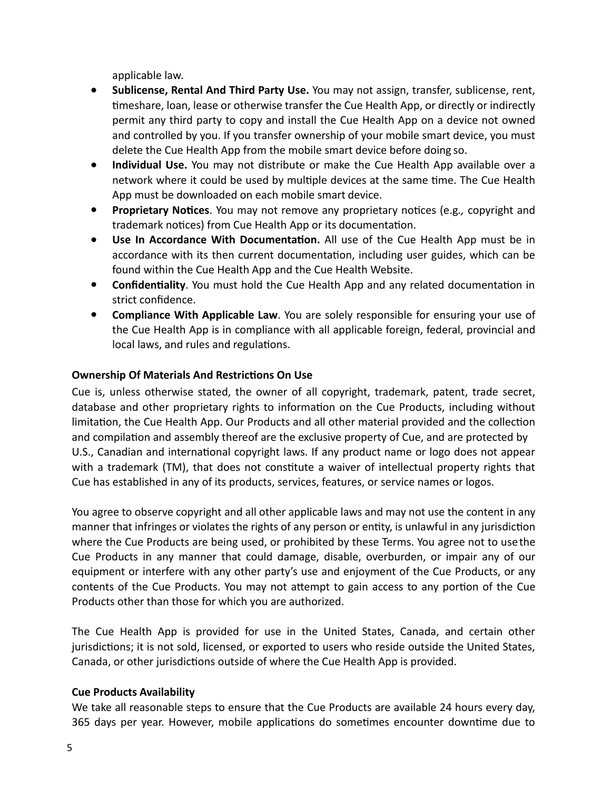applicable law.

- **● Sublicense, Rental And Third Party Use.** You may not assign, transfer, sublicense, rent, timeshare, loan, lease or otherwise transfer the Cue Health App, or directly or indirectly permit any third party to copy and install the Cue Health App on a device not owned and controlled by you. If you transfer ownership of your mobile smart device, you must delete the Cue Health App from the mobile smart device before doing so.
- **● Individual Use.** You may not distribute or make the Cue Health App available over a network where it could be used by multiple devices at the same time. The Cue Health App must be downloaded on each mobile smart device.
- **● Proprietary Notices**. You may not remove any proprietary notices (e.g*.,* copyright and trademark notices) from Cue Health App or its documentation.
- **● Use In Accordance With Documentation.** All use of the Cue Health App must be in accordance with its then current documentation, including user guides, which can be found within the Cue Health App and the Cue Health Website.
- **● Confidentiality**. You must hold the Cue Health App and any related documentation in strict confidence.
- **● Compliance With Applicable Law**. You are solely responsible for ensuring your use of the Cue Health App is in compliance with all applicable foreign, federal, provincial and local laws, and rules and regulations.

# **Ownership Of Materials And Restrictions On Use**

Cue is, unless otherwise stated, the owner of all copyright, trademark, patent, trade secret, database and other proprietary rights to information on the Cue Products, including without limitation, the Cue Health App. Our Products and all other material provided and the collection and compilation and assembly thereof are the exclusive property of Cue, and are protected by U.S., Canadian and international copyright laws. If any product name or logo does not appear with a trademark (TM), that does not constitute a waiver of intellectual property rights that Cue has established in any of its products, services, features, or service names or logos.

You agree to observe copyright and all other applicable laws and may not use the content in any manner that infringes or violates the rights of any person or entity, is unlawful in any jurisdiction where the Cue Products are being used, or prohibited by these Terms. You agree not to usethe Cue Products in any manner that could damage, disable, overburden, or impair any of our equipment or interfere with any other party's use and enjoyment of the Cue Products, or any contents of the Cue Products. You may not attempt to gain access to any portion of the Cue Products other than those for which you are authorized.

The Cue Health App is provided for use in the United States, Canada, and certain other jurisdictions; it is not sold, licensed, or exported to users who reside outside the United States, Canada, or other jurisdictions outside of where the Cue Health App is provided.

# **Cue Products Availability**

We take all reasonable steps to ensure that the Cue Products are available 24 hours every day, 365 days per year. However, mobile applications do sometimes encounter downtime due to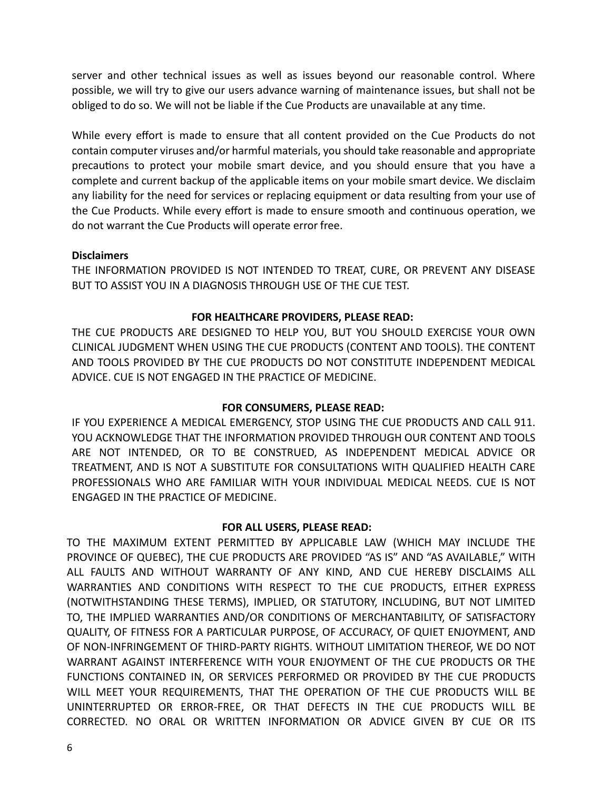server and other technical issues as well as issues beyond our reasonable control. Where possible, we will try to give our users advance warning of maintenance issues, but shall not be obliged to do so. We will not be liable if the Cue Products are unavailable at any time.

While every effort is made to ensure that all content provided on the Cue Products do not contain computer viruses and/or harmful materials, you should take reasonable and appropriate precautions to protect your mobile smart device, and you should ensure that you have a complete and current backup of the applicable items on your mobile smart device. We disclaim any liability for the need for services or replacing equipment or data resulting from your use of the Cue Products. While every effort is made to ensure smooth and continuous operation, we do not warrant the Cue Products will operate error free.

# **Disclaimers**

THE INFORMATION PROVIDED IS NOT INTENDED TO TREAT, CURE, OR PREVENT ANY DISEASE BUT TO ASSIST YOU IN A DIAGNOSIS THROUGH USE OF THE CUE TEST.

# **FOR HEALTHCARE PROVIDERS, PLEASE READ:**

THE CUE PRODUCTS ARE DESIGNED TO HELP YOU, BUT YOU SHOULD EXERCISE YOUR OWN CLINICAL JUDGMENT WHEN USING THE CUE PRODUCTS (CONTENT AND TOOLS). THE CONTENT AND TOOLS PROVIDED BY THE CUE PRODUCTS DO NOT CONSTITUTE INDEPENDENT MEDICAL ADVICE. CUE IS NOT ENGAGED IN THE PRACTICE OF MEDICINE.

#### **FOR CONSUMERS, PLEASE READ:**

IF YOU EXPERIENCE A MEDICAL EMERGENCY, STOP USING THE CUE PRODUCTS AND CALL 911. YOU ACKNOWLEDGE THAT THE INFORMATION PROVIDED THROUGH OUR CONTENT AND TOOLS ARE NOT INTENDED, OR TO BE CONSTRUED, AS INDEPENDENT MEDICAL ADVICE OR TREATMENT, AND IS NOT A SUBSTITUTE FOR CONSULTATIONS WITH QUALIFIED HEALTH CARE PROFESSIONALS WHO ARE FAMILIAR WITH YOUR INDIVIDUAL MEDICAL NEEDS. CUE IS NOT ENGAGED IN THE PRACTICE OF MEDICINE.

# **FOR ALL USERS, PLEASE READ:**

TO THE MAXIMUM EXTENT PERMITTED BY APPLICABLE LAW (WHICH MAY INCLUDE THE PROVINCE OF QUEBEC), THE CUE PRODUCTS ARE PROVIDED "AS IS" AND "AS AVAILABLE," WITH ALL FAULTS AND WITHOUT WARRANTY OF ANY KIND, AND CUE HEREBY DISCLAIMS ALL WARRANTIES AND CONDITIONS WITH RESPECT TO THE CUE PRODUCTS, EITHER EXPRESS (NOTWITHSTANDING THESE TERMS), IMPLIED, OR STATUTORY, INCLUDING, BUT NOT LIMITED TO, THE IMPLIED WARRANTIES AND/OR CONDITIONS OF MERCHANTABILITY, OF SATISFACTORY QUALITY, OF FITNESS FOR A PARTICULAR PURPOSE, OF ACCURACY, OF QUIET ENJOYMENT, AND OF NON-INFRINGEMENT OF THIRD-PARTY RIGHTS. WITHOUT LIMITATION THEREOF, WE DO NOT WARRANT AGAINST INTERFERENCE WITH YOUR ENJOYMENT OF THE CUE PRODUCTS OR THE FUNCTIONS CONTAINED IN, OR SERVICES PERFORMED OR PROVIDED BY THE CUE PRODUCTS WILL MEET YOUR REQUIREMENTS, THAT THE OPERATION OF THE CUE PRODUCTS WILL BE UNINTERRUPTED OR ERROR-FREE, OR THAT DEFECTS IN THE CUE PRODUCTS WILL BE CORRECTED. NO ORAL OR WRITTEN INFORMATION OR ADVICE GIVEN BY CUE OR ITS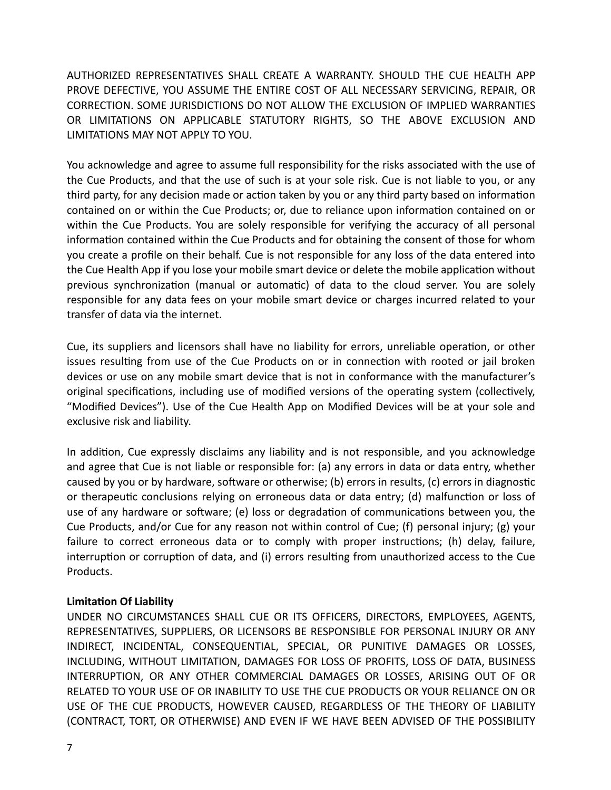AUTHORIZED REPRESENTATIVES SHALL CREATE A WARRANTY. SHOULD THE CUE HEALTH APP PROVE DEFECTIVE, YOU ASSUME THE ENTIRE COST OF ALL NECESSARY SERVICING, REPAIR, OR CORRECTION. SOME JURISDICTIONS DO NOT ALLOW THE EXCLUSION OF IMPLIED WARRANTIES OR LIMITATIONS ON APPLICABLE STATUTORY RIGHTS, SO THE ABOVE EXCLUSION AND LIMITATIONS MAY NOT APPLY TO YOU.

You acknowledge and agree to assume full responsibility for the risks associated with the use of the Cue Products, and that the use of such is at your sole risk. Cue is not liable to you, or any third party, for any decision made or action taken by you or any third party based on information contained on or within the Cue Products; or, due to reliance upon information contained on or within the Cue Products. You are solely responsible for verifying the accuracy of all personal information contained within the Cue Products and for obtaining the consent of those for whom you create a profile on their behalf. Cue is not responsible for any loss of the data entered into the Cue Health App if you lose your mobile smart device or delete the mobile application without previous synchronization (manual or automatic) of data to the cloud server. You are solely responsible for any data fees on your mobile smart device or charges incurred related to your transfer of data via the internet.

Cue, its suppliers and licensors shall have no liability for errors, unreliable operation, or other issues resulting from use of the Cue Products on or in connection with rooted or jail broken devices or use on any mobile smart device that is not in conformance with the manufacturer's original specifications, including use of modified versions of the operating system (collectively, "Modified Devices"). Use of the Cue Health App on Modified Devices will be at your sole and exclusive risk and liability.

In addition, Cue expressly disclaims any liability and is not responsible, and you acknowledge and agree that Cue is not liable or responsible for: (a) any errors in data or data entry, whether caused by you or by hardware, software or otherwise; (b) errors in results, (c) errors in diagnostic or therapeutic conclusions relying on erroneous data or data entry; (d) malfunction or loss of use of any hardware or software; (e) loss or degradation of communications between you, the Cue Products, and/or Cue for any reason not within control of Cue; (f) personal injury; (g) your failure to correct erroneous data or to comply with proper instructions; (h) delay, failure, interruption or corruption of data, and (i) errors resulting from unauthorized access to the Cue Products.

#### **Limitation Of Liability**

UNDER NO CIRCUMSTANCES SHALL CUE OR ITS OFFICERS, DIRECTORS, EMPLOYEES, AGENTS, REPRESENTATIVES, SUPPLIERS, OR LICENSORS BE RESPONSIBLE FOR PERSONAL INJURY OR ANY INDIRECT, INCIDENTAL, CONSEQUENTIAL, SPECIAL, OR PUNITIVE DAMAGES OR LOSSES, INCLUDING, WITHOUT LIMITATION, DAMAGES FOR LOSS OF PROFITS, LOSS OF DATA, BUSINESS INTERRUPTION, OR ANY OTHER COMMERCIAL DAMAGES OR LOSSES, ARISING OUT OF OR RELATED TO YOUR USE OF OR INABILITY TO USE THE CUE PRODUCTS OR YOUR RELIANCE ON OR USE OF THE CUE PRODUCTS, HOWEVER CAUSED, REGARDLESS OF THE THEORY OF LIABILITY (CONTRACT, TORT, OR OTHERWISE) AND EVEN IF WE HAVE BEEN ADVISED OF THE POSSIBILITY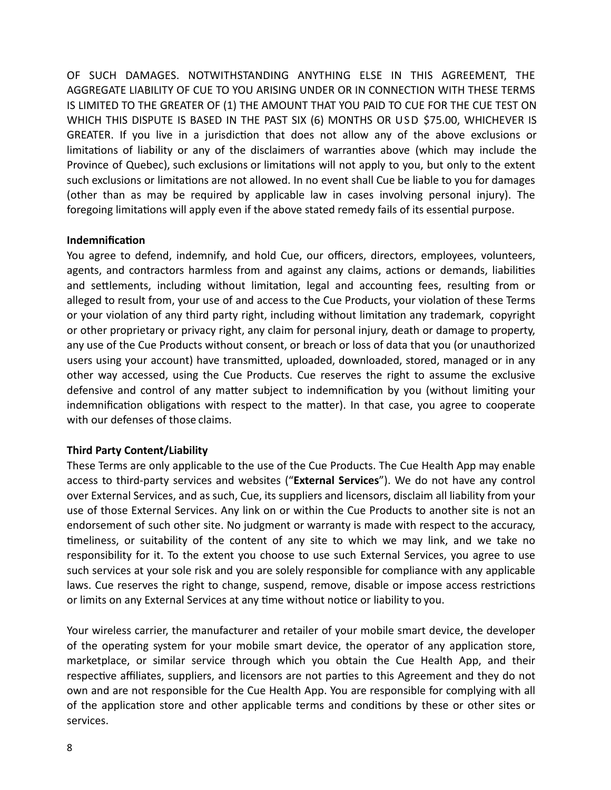OF SUCH DAMAGES. NOTWITHSTANDING ANYTHING ELSE IN THIS AGREEMENT, THE AGGREGATE LIABILITY OF CUE TO YOU ARISING UNDER OR IN CONNECTION WITH THESE TERMS IS LIMITED TO THE GREATER OF (1) THE AMOUNT THAT YOU PAID TO CUE FOR THE CUE TEST ON WHICH THIS DISPUTE IS BASED IN THE PAST SIX (6) MONTHS OR USD \$75.00, WHICHEVER IS GREATER. If you live in a jurisdiction that does not allow any of the above exclusions or limitations of liability or any of the disclaimers of warranties above (which may include the Province of Quebec), such exclusions or limitations will not apply to you, but only to the extent such exclusions or limitations are not allowed. In no event shall Cue be liable to you for damages (other than as may be required by applicable law in cases involving personal injury). The foregoing limitations will apply even if the above stated remedy fails of its essential purpose.

# **Indemnification**

You agree to defend, indemnify, and hold Cue, our officers, directors, employees, volunteers, agents, and contractors harmless from and against any claims, actions or demands, liabilities and settlements, including without limitation, legal and accounting fees, resulting from or alleged to result from, your use of and access to the Cue Products, your violation of these Terms or your violation of any third party right, including without limitation any trademark, copyright or other proprietary or privacy right, any claim for personal injury, death or damage to property, any use of the Cue Products without consent, or breach or loss of data that you (or unauthorized users using your account) have transmitted, uploaded, downloaded, stored, managed or in any other way accessed, using the Cue Products. Cue reserves the right to assume the exclusive defensive and control of any matter subject to indemnification by you (without limiting your indemnification obligations with respect to the matter). In that case, you agree to cooperate with our defenses of those claims.

# **Third Party Content/Liability**

These Terms are only applicable to the use of the Cue Products. The Cue Health App may enable access to third-party services and websites ("**External Services**"). We do not have any control over External Services, and as such, Cue, its suppliers and licensors, disclaim all liability from your use of those External Services. Any link on or within the Cue Products to another site is not an endorsement of such other site. No judgment or warranty is made with respect to the accuracy, timeliness, or suitability of the content of any site to which we may link, and we take no responsibility for it. To the extent you choose to use such External Services, you agree to use such services at your sole risk and you are solely responsible for compliance with any applicable laws. Cue reserves the right to change, suspend, remove, disable or impose access restrictions or limits on any External Services at any time without notice or liability to you.

Your wireless carrier, the manufacturer and retailer of your mobile smart device, the developer of the operating system for your mobile smart device, the operator of any application store, marketplace, or similar service through which you obtain the Cue Health App, and their respective affiliates, suppliers, and licensors are not parties to this Agreement and they do not own and are not responsible for the Cue Health App. You are responsible for complying with all of the application store and other applicable terms and conditions by these or other sites or services.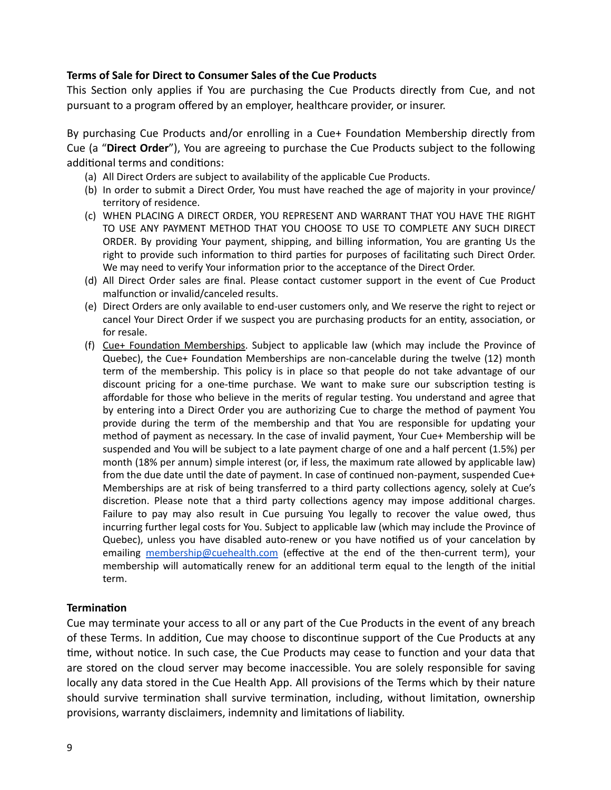# **Terms of Sale for Direct to Consumer Sales of the Cue Products**

This Section only applies if You are purchasing the Cue Products directly from Cue, and not pursuant to a program offered by an employer, healthcare provider, or insurer.

By purchasing Cue Products and/or enrolling in a Cue+ Foundation Membership directly from Cue (a "**Direct Order**"), You are agreeing to purchase the Cue Products subject to the following additional terms and conditions:

- (a) All Direct Orders are subject to availability of the applicable Cue Products.
- (b) In order to submit a Direct Order, You must have reached the age of majority in your province/ territory of residence.
- (c) WHEN PLACING A DIRECT ORDER, YOU REPRESENT AND WARRANT THAT YOU HAVE THE RIGHT TO USE ANY PAYMENT METHOD THAT YOU CHOOSE TO USE TO COMPLETE ANY SUCH DIRECT ORDER. By providing Your payment, shipping, and billing information, You are granting Us the right to provide such information to third parties for purposes of facilitating such Direct Order. We may need to verify Your information prior to the acceptance of the Direct Order.
- (d) All Direct Order sales are final. Please contact customer support in the event of Cue Product malfunction or invalid/canceled results.
- (e) Direct Orders are only available to end-user customers only, and We reserve the right to reject or cancel Your Direct Order if we suspect you are purchasing products for an entity, association, or for resale.
- (f) Cue+ Foundation Memberships. Subject to applicable law (which may include the Province of Quebec), the Cue+ Foundation Memberships are non-cancelable during the twelve (12) month term of the membership. This policy is in place so that people do not take advantage of our discount pricing for a one-time purchase. We want to make sure our subscription testing is affordable for those who believe in the merits of regular testing. You understand and agree that by entering into a Direct Order you are authorizing Cue to charge the method of payment You provide during the term of the membership and that You are responsible for updating your method of payment as necessary. In the case of invalid payment, Your Cue+ Membership will be suspended and You will be subject to a late payment charge of one and a half percent (1.5%) per month (18% per annum) simple interest (or, if less, the maximum rate allowed by applicable law) from the due date until the date of payment. In case of continued non-payment, suspended Cue+ Memberships are at risk of being transferred to a third party collections agency, solely at Cue's discretion. Please note that a third party collections agency may impose additional charges. Failure to pay may also result in Cue pursuing You legally to recover the value owed, thus incurring further legal costs for You. Subject to applicable law (which may include the Province of Quebec), unless you have disabled auto-renew or you have notified us of your cancelation by emailing [membership@cuehealth.com](mailto:membership@cuehealth.com) (effective at the end of the then-current term), your membership will automatically renew for an additional term equal to the length of the initial term.

# **Termination**

Cue may terminate your access to all or any part of the Cue Products in the event of any breach of these Terms. In addition, Cue may choose to discontinue support of the Cue Products at any time, without notice. In such case, the Cue Products may cease to function and your data that are stored on the cloud server may become inaccessible. You are solely responsible for saving locally any data stored in the Cue Health App. All provisions of the Terms which by their nature should survive termination shall survive termination, including, without limitation, ownership provisions, warranty disclaimers, indemnity and limitations of liability.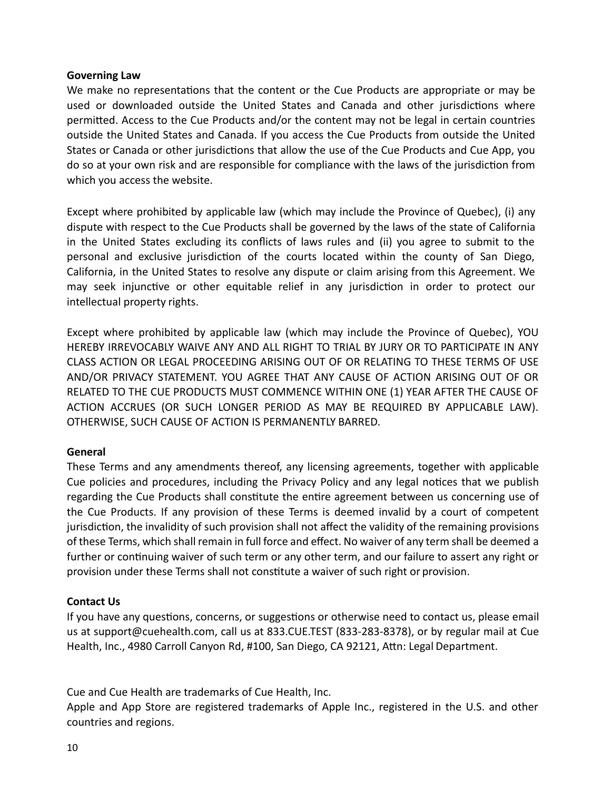## **Governing Law**

We make no representations that the content or the Cue Products are appropriate or may be used or downloaded outside the United States and Canada and other jurisdictions where permitted. Access to the Cue Products and/or the content may not be legal in certain countries outside the United States and Canada. If you access the Cue Products from outside the United States or Canada or other jurisdictions that allow the use of the Cue Products and Cue App, you do so at your own risk and are responsible for compliance with the laws of the jurisdiction from which you access the website.

Except where prohibited by applicable law (which may include the Province of Quebec), (i) any dispute with respect to the Cue Products shall be governed by the laws of the state of California in the United States excluding its conflicts of laws rules and (ii) you agree to submit to the personal and exclusive jurisdiction of the courts located within the county of San Diego, California, in the United States to resolve any dispute or claim arising from this Agreement. We may seek injunctive or other equitable relief in any jurisdiction in order to protect our intellectual property rights.

Except where prohibited by applicable law (which may include the Province of Quebec), YOU HEREBY IRREVOCABLY WAIVE ANY AND ALL RIGHT TO TRIAL BY JURY OR TO PARTICIPATE IN ANY CLASS ACTION OR LEGAL PROCEEDING ARISING OUT OF OR RELATING TO THESE TERMS OF USE AND/OR PRIVACY STATEMENT. YOU AGREE THAT ANY CAUSE OF ACTION ARISING OUT OF OR RELATED TO THE CUE PRODUCTS MUST COMMENCE WITHIN ONE (1) YEAR AFTER THE CAUSE OF ACTION ACCRUES (OR SUCH LONGER PERIOD AS MAY BE REQUIRED BY APPLICABLE LAW). OTHERWISE, SUCH CAUSE OF ACTION IS PERMANENTLY BARRED.

# **General**

These Terms and any amendments thereof, any licensing agreements, together with applicable Cue policies and procedures, including the Privacy Policy and any legal notices that we publish regarding the Cue Products shall constitute the entire agreement between us concerning use of the Cue Products. If any provision of these Terms is deemed invalid by a court of competent jurisdiction, the invalidity of such provision shall not affect the validity of the remaining provisions of these Terms, which shall remain in full force and effect. No waiver of any term shall be deemed a further or continuing waiver of such term or any other term, and our failure to assert any right or provision under these Terms shall not constitute a waiver of such right or provision.

# **Contact Us**

If you have any questions, concerns, or suggestions or otherwise need to contact us, please email us at [support@cuehealth.com](mailto:support@cuehealth.com), call us at 833.CUE.TEST (833-283-8378), or by regular mail at Cue Health, Inc., 4980 Carroll Canyon Rd, #100, San Diego, CA 92121, Attn: Legal Department.

Cue and Cue Health are trademarks of Cue Health, Inc.

Apple and App Store are registered trademarks of Apple Inc., registered in the U.S. and other countries and regions.